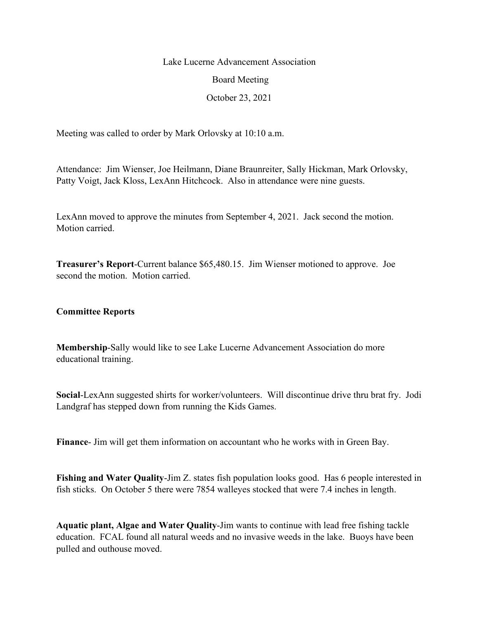## Lake Lucerne Advancement Association Board Meeting October 23, 2021

Meeting was called to order by Mark Orlovsky at 10:10 a.m.

Attendance: Jim Wienser, Joe Heilmann, Diane Braunreiter, Sally Hickman, Mark Orlovsky, Patty Voigt, Jack Kloss, LexAnn Hitchcock. Also in attendance were nine guests.

LexAnn moved to approve the minutes from September 4, 2021. Jack second the motion. Motion carried.

**Treasurer's Report**-Current balance \$65,480.15. Jim Wienser motioned to approve. Joe second the motion. Motion carried.

## **Committee Reports**

**Membership**-Sally would like to see Lake Lucerne Advancement Association do more educational training.

**Social**-LexAnn suggested shirts for worker/volunteers. Will discontinue drive thru brat fry. Jodi Landgraf has stepped down from running the Kids Games.

**Finance**- Jim will get them information on accountant who he works with in Green Bay.

**Fishing and Water Quality-Jim Z.** states fish population looks good. Has 6 people interested in fish sticks. On October 5 there were 7854 walleyes stocked that were 7.4 inches in length.

**Aquatic plant, Algae and Water Quality**-Jim wants to continue with lead free fishing tackle education. FCAL found all natural weeds and no invasive weeds in the lake. Buoys have been pulled and outhouse moved.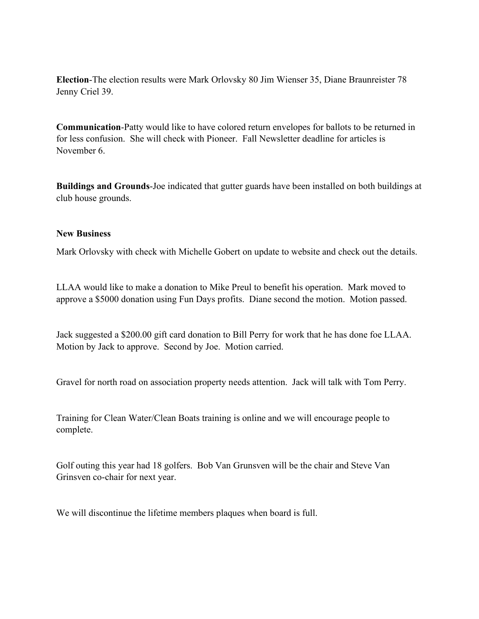**Election**-The election results were Mark Orlovsky 80 Jim Wienser 35, Diane Braunreister 78 Jenny Criel 39.

**Communication**-Patty would like to have colored return envelopes for ballots to be returned in for less confusion. She will check with Pioneer. Fall Newsletter deadline for articles is November 6.

**Buildings and Grounds**-Joe indicated that gutter guards have been installed on both buildings at club house grounds.

## **New Business**

Mark Orlovsky with check with Michelle Gobert on update to website and check out the details.

LLAA would like to make a donation to Mike Preul to benefit his operation. Mark moved to approve a \$5000 donation using Fun Days profits. Diane second the motion. Motion passed.

Jack suggested a \$200.00 gift card donation to Bill Perry for work that he has done foe LLAA. Motion by Jack to approve. Second by Joe. Motion carried.

Gravel for north road on association property needs attention. Jack will talk with Tom Perry.

Training for Clean Water/Clean Boats training is online and we will encourage people to complete.

Golf outing this year had 18 golfers. Bob Van Grunsven will be the chair and Steve Van Grinsven co-chair for next year.

We will discontinue the lifetime members plaques when board is full.